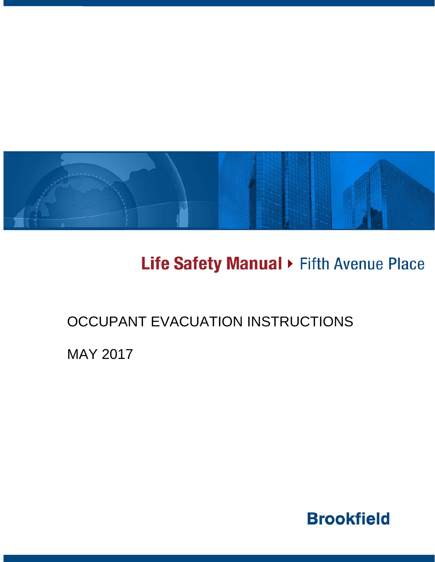

# Life Safety Manual > Fifth Avenue Place

### OCCUPANT EVACUATION INSTRUCTIONS

MAY 2017

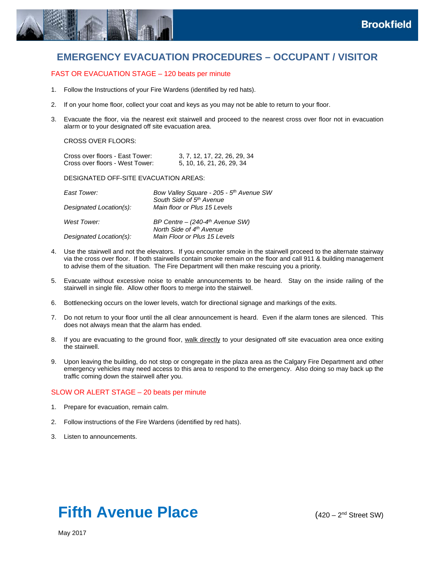

### **EMERGENCY EVACUATION PROCEDURES – OCCUPANT / VISITOR**

### FAST OR EVACUATION STAGE – 120 beats per minute

- 1. Follow the Instructions of your Fire Wardens (identified by red hats).
- 2. If on your home floor, collect your coat and keys as you may not be able to return to your floor.
- 3. Evacuate the floor, via the nearest exit stairwell and proceed to the nearest cross over floor not in evacuation alarm or to your designated off site evacuation area.

#### CROSS OVER FLOORS:

| Cross over floors - East Tower: | 3, 7, 12, 17, 22, 26, 29, 34 |
|---------------------------------|------------------------------|
| Cross over floors - West Tower: | 5, 10, 16, 21, 26, 29, 34    |

#### DESIGNATED OFF-SITE EVACUATION AREAS:

| East Tower:<br>Designated Location(s): | Bow Valley Square - 205 - 5 <sup>th</sup> Avenue SW<br>South Side of 5th Avenue<br>Main floor or Plus 15 Levels |
|----------------------------------------|-----------------------------------------------------------------------------------------------------------------|
| West Tower:                            | BP Centre $-$ (240-4 <sup>th</sup> Avenue SW)<br>North Side of 4th Avenue                                       |
| Designated Location(s):                | Main Floor or Plus 15 Levels                                                                                    |

- 4. Use the stairwell and not the elevators. If you encounter smoke in the stairwell proceed to the alternate stairway via the cross over floor. If both stairwells contain smoke remain on the floor and call 911 & building management to advise them of the situation. The Fire Department will then make rescuing you a priority.
- 5. Evacuate without excessive noise to enable announcements to be heard. Stay on the inside railing of the stairwell in single file. Allow other floors to merge into the stairwell.
- 6. Bottlenecking occurs on the lower levels, watch for directional signage and markings of the exits.
- 7. Do not return to your floor until the all clear announcement is heard. Even if the alarm tones are silenced. This does not always mean that the alarm has ended.
- 8. If you are evacuating to the ground floor, walk directly to your designated off site evacuation area once exiting the stairwell.
- 9. Upon leaving the building, do not stop or congregate in the plaza area as the Calgary Fire Department and other emergency vehicles may need access to this area to respond to the emergency. Also doing so may back up the traffic coming down the stairwell after you.

### SLOW OR ALERT STAGE – 20 beats per minute

- 1. Prepare for evacuation, remain calm.
- 2. Follow instructions of the Fire Wardens (identified by red hats).
- 3. Listen to announcements.

## **Fifth Avenue Place** (420 – 2<sup>nd</sup> Street SW)